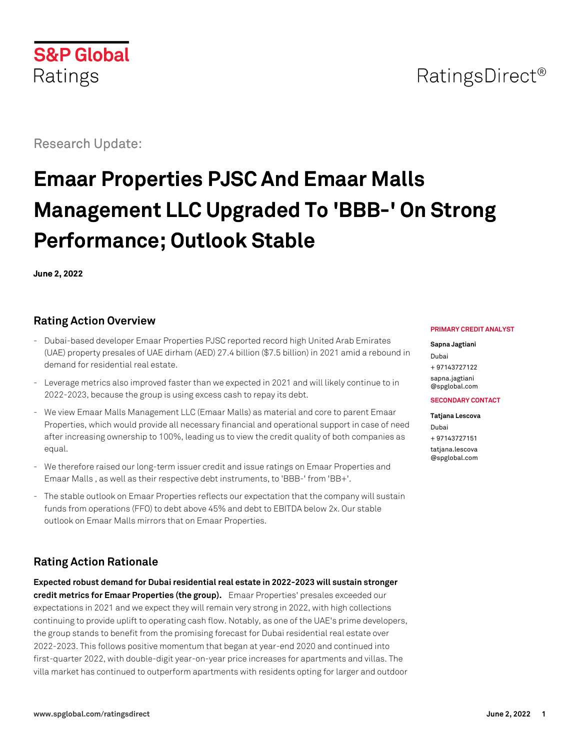

## RatingsDirect<sup>®</sup>

Research Update:

# **Emaar Properties PJSC And Emaar Malls Management LLC Upgraded To 'BBB-' On Strong Performance; Outlook Stable**

**June 2, 2022**

## **Rating Action Overview**

- Dubai-based developer Emaar Properties PJSC reported record high United Arab Emirates (UAE) property presales of UAE dirham (AED) 27.4 billion (\$7.5 billion) in 2021 amid a rebound in demand for residential real estate.
- Leverage metrics also improved faster than we expected in 2021 and will likely continue to in 2022-2023, because the group is using excess cash to repay its debt.
- We view Emaar Malls Management LLC (Emaar Malls) as material and core to parent Emaar Properties, which would provide all necessary financial and operational support in case of need after increasing ownership to 100%, leading us to view the credit quality of both companies as equal.
- We therefore raised our long-term issuer credit and issue ratings on Emaar Properties and Emaar Malls , as well as their respective debt instruments, to 'BBB-' from 'BB+'.
- The stable outlook on Emaar Properties reflects our expectation that the company will sustain funds from operations (FFO) to debt above 45% and debt to EBITDA below 2x. Our stable outlook on Emaar Malls mirrors that on Emaar Properties.

## **Rating Action Rationale**

**Expected robust demand for Dubai residential real estate in 2022-2023 will sustain stronger credit metrics for Emaar Properties (the group).** Emaar Properties' presales exceeded our expectations in 2021 and we expect they will remain very strong in 2022, with high collections continuing to provide uplift to operating cash flow. Notably, as one of the UAE's prime developers, the group stands to benefit from the promising forecast for Dubai residential real estate over 2022-2023. This follows positive momentum that began at year-end 2020 and continued into first-quarter 2022, with double-digit year-on-year price increases for apartments and villas. The villa market has continued to outperform apartments with residents opting for larger and outdoor

#### **PRIMARY CREDIT ANALYST**

#### **Sapna Jagtiani**

Dubai + 97143727122 [sapna.jagtiani](mailto:sapna.jagtiani@spglobal.com) [@spglobal.com](mailto:sapna.jagtiani@spglobal.com)

#### **SECONDARY CONTACT**

**Tatjana Lescova** Dubai + 97143727151 [tatjana.lescova](mailto:tatjana.lescova@spglobal.com) [@spglobal.com](mailto:tatjana.lescova@spglobal.com)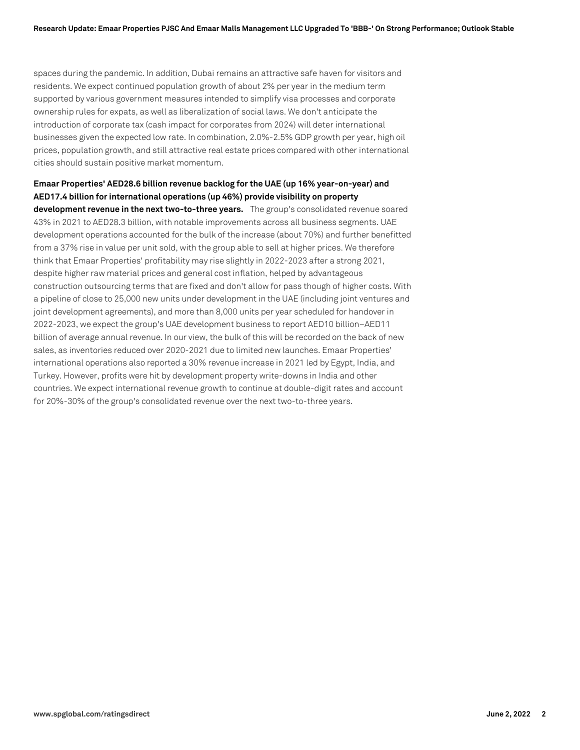spaces during the pandemic. In addition, Dubai remains an attractive safe haven for visitors and residents. We expect continued population growth of about 2% per year in the medium term supported by various government measures intended to simplify visa processes and corporate ownership rules for expats, as well as liberalization of social laws. We don't anticipate the introduction of corporate tax (cash impact for corporates from 2024) will deter international businesses given the expected low rate. In combination, 2.0%-2.5% GDP growth per year, high oil prices, population growth, and still attractive real estate prices compared with other international cities should sustain positive market momentum.

**Emaar Properties' AED28.6 billion revenue backlog for the UAE (up 16% year-on-year) and AED17.4 billion for international operations (up 46%) provide visibility on property development revenue in the next two-to-three years.** The group's consolidated revenue soared 43% in 2021 to AED28.3 billion, with notable improvements across all business segments. UAE development operations accounted for the bulk of the increase (about 70%) and further benefitted from a 37% rise in value per unit sold, with the group able to sell at higher prices. We therefore think that Emaar Properties' profitability may rise slightly in 2022-2023 after a strong 2021, despite higher raw material prices and general cost inflation, helped by advantageous construction outsourcing terms that are fixed and don't allow for pass though of higher costs. With a pipeline of close to 25,000 new units under development in the UAE (including joint ventures and joint development agreements), and more than 8,000 units per year scheduled for handover in 2022-2023, we expect the group's UAE development business to report AED10 billion–AED11 billion of average annual revenue. In our view, the bulk of this will be recorded on the back of new sales, as inventories reduced over 2020-2021 due to limited new launches. Emaar Properties' international operations also reported a 30% revenue increase in 2021 led by Egypt, India, and Turkey. However, profits were hit by development property write-downs in India and other countries. We expect international revenue growth to continue at double-digit rates and account for 20%-30% of the group's consolidated revenue over the next two-to-three years.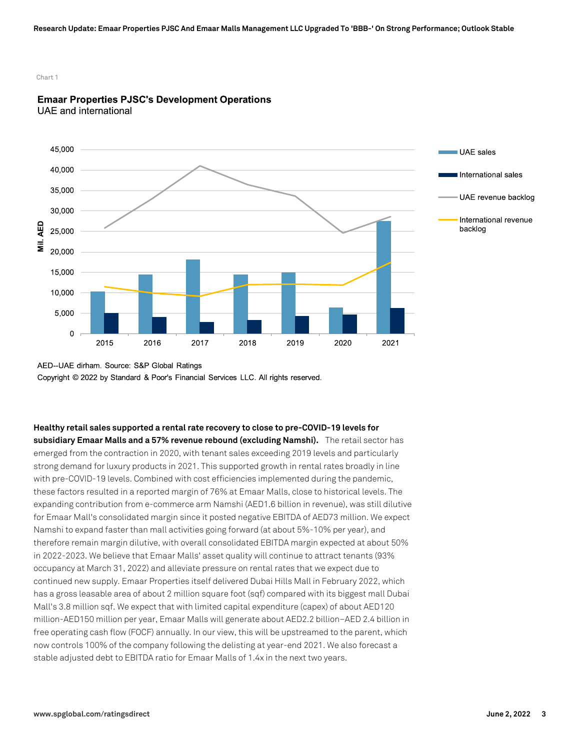Chart 1



#### **Emaar Properties PJSC's Development Operations UAE** and international

AED--UAE dirham. Source: S&P Global Ratings Copyright © 2022 by Standard & Poor's Financial Services LLC. All rights reserved.

**Healthy retail sales supported a rental rate recovery to close to pre-COVID-19 levels for subsidiary Emaar Malls and a 57% revenue rebound (excluding Namshi).** The retail sector has emerged from the contraction in 2020, with tenant sales exceeding 2019 levels and particularly strong demand for luxury products in 2021. This supported growth in rental rates broadly in line with pre-COVID-19 levels. Combined with cost efficiencies implemented during the pandemic, these factors resulted in a reported margin of 76% at Emaar Malls, close to historical levels. The expanding contribution from e-commerce arm Namshi (AED1.6 billion in revenue), was still dilutive for Emaar Mall's consolidated margin since it posted negative EBITDA of AED73 million. We expect Namshi to expand faster than mall activities going forward (at about 5%-10% per year), and therefore remain margin dilutive, with overall consolidated EBITDA margin expected at about 50% in 2022-2023. We believe that Emaar Malls' asset quality will continue to attract tenants (93% occupancy at March 31, 2022) and alleviate pressure on rental rates that we expect due to continued new supply. Emaar Properties itself delivered Dubai Hills Mall in February 2022, which has a gross leasable area of about 2 million square foot (sqf) compared with its biggest mall Dubai Mall's 3.8 million sqf. We expect that with limited capital expenditure (capex) of about AED120 million-AED150 million per year, Emaar Malls will generate about AED2.2 billion–AED 2.4 billion in free operating cash flow (FOCF) annually. In our view, this will be upstreamed to the parent, which now controls 100% of the company following the delisting at year-end 2021. We also forecast a stable adjusted debt to EBITDA ratio for Emaar Malls of 1.4x in the next two years.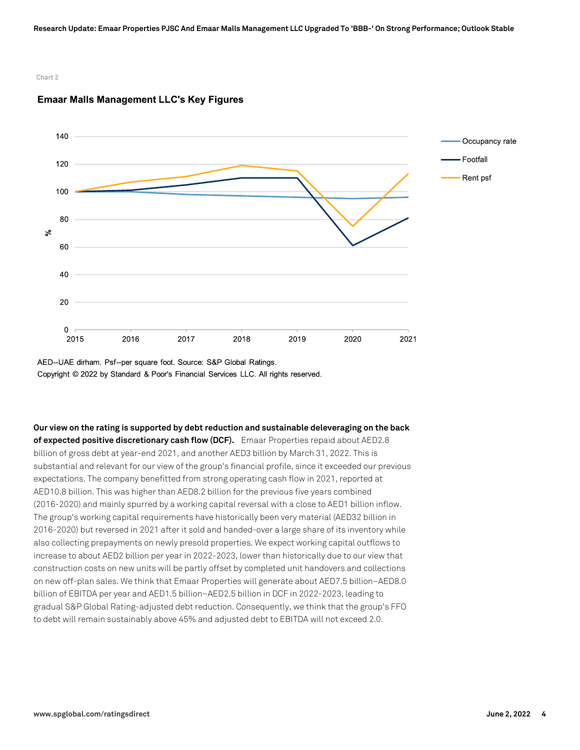#### Chart 2



#### **Emaar Malls Management LLC's Key Figures**

AED--UAE dirham. Psf--per square foot. Source: S&P Global Ratings. Copyright © 2022 by Standard & Poor's Financial Services LLC. All rights reserved.

**Our view on the rating is supported by debt reduction and sustainable deleveraging on the back of expected positive discretionary cash flow (DCF).** Emaar Properties repaid about AED2.8 billion of gross debt at year-end 2021, and another AED3 billion by March 31, 2022. This is substantial and relevant for our view of the group's financial profile, since it exceeded our previous expectations. The company benefitted from strong operating cash flow in 2021, reported at AED10.8 billion. This was higher than AED8.2 billion for the previous five years combined (2016-2020) and mainly spurred by a working capital reversal with a close to AED1 billion inflow. The group's working capital requirements have historically been very material (AED32 billion in 2016-2020) but reversed in 2021 after it sold and handed-over a large share of its inventory while also collecting prepayments on newly presold properties. We expect working capital outflows to increase to about AED2 billion per year in 2022-2023, lower than historically due to our view that construction costs on new units will be partly offset by completed unit handovers and collections on new off-plan sales. We think that Emaar Properties will generate about AED7.5 billion–AED8.0 billion of EBITDA per year and AED1.5 billion–AED2.5 billion in DCF in 2022-2023, leading to gradual S&P Global Rating-adjusted debt reduction. Consequently, we think that the group's FFO to debt will remain sustainably above 45% and adjusted debt to EBITDA will not exceed 2.0.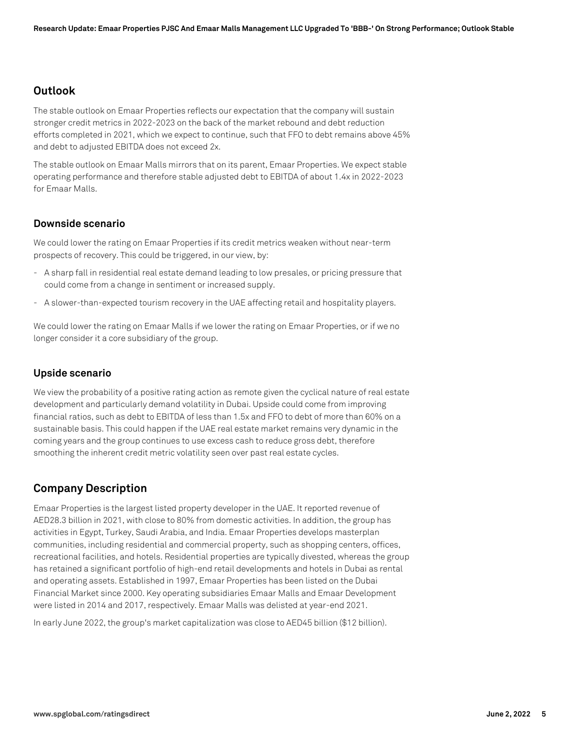## **Outlook**

The stable outlook on Emaar Properties reflects our expectation that the company will sustain stronger credit metrics in 2022-2023 on the back of the market rebound and debt reduction efforts completed in 2021, which we expect to continue, such that FFO to debt remains above 45% and debt to adjusted EBITDA does not exceed 2x.

The stable outlook on Emaar Malls mirrors that on its parent, Emaar Properties. We expect stable operating performance and therefore stable adjusted debt to EBITDA of about 1.4x in 2022-2023 for Emaar Malls.

#### **Downside scenario**

We could lower the rating on Emaar Properties if its credit metrics weaken without near-term prospects of recovery. This could be triggered, in our view, by:

- A sharp fall in residential real estate demand leading to low presales, or pricing pressure that could come from a change in sentiment or increased supply.
- A slower-than-expected tourism recovery in the UAE affecting retail and hospitality players.

We could lower the rating on Emaar Malls if we lower the rating on Emaar Properties, or if we no longer consider it a core subsidiary of the group.

#### **Upside scenario**

We view the probability of a positive rating action as remote given the cyclical nature of real estate development and particularly demand volatility in Dubai. Upside could come from improving financial ratios, such as debt to EBITDA of less than 1.5x and FFO to debt of more than 60% on a sustainable basis. This could happen if the UAE real estate market remains very dynamic in the coming years and the group continues to use excess cash to reduce gross debt, therefore smoothing the inherent credit metric volatility seen over past real estate cycles.

## **Company Description**

Emaar Properties is the largest listed property developer in the UAE. It reported revenue of AED28.3 billion in 2021, with close to 80% from domestic activities. In addition, the group has activities in Egypt, Turkey, Saudi Arabia, and India. Emaar Properties develops masterplan communities, including residential and commercial property, such as shopping centers, offices, recreational facilities, and hotels. Residential properties are typically divested, whereas the group has retained a significant portfolio of high-end retail developments and hotels in Dubai as rental and operating assets. Established in 1997, Emaar Properties has been listed on the Dubai Financial Market since 2000. Key operating subsidiaries Emaar Malls and Emaar Development were listed in 2014 and 2017, respectively. Emaar Malls was delisted at year-end 2021.

In early June 2022, the group's market capitalization was close to AED45 billion (\$12 billion).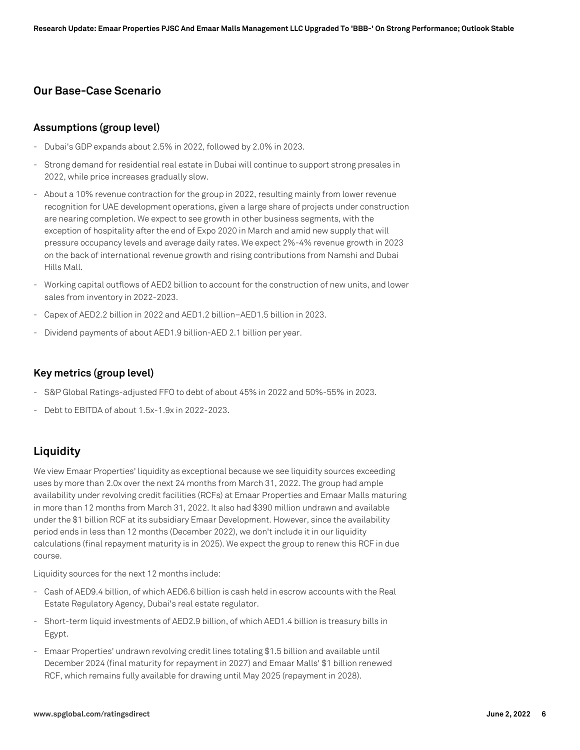## **Our Base-Case Scenario**

#### **Assumptions (group level)**

- Dubai's GDP expands about 2.5% in 2022, followed by 2.0% in 2023.
- Strong demand for residential real estate in Dubai will continue to support strong presales in 2022, while price increases gradually slow.
- About a 10% revenue contraction for the group in 2022, resulting mainly from lower revenue recognition for UAE development operations, given a large share of projects under construction are nearing completion. We expect to see growth in other business segments, with the exception of hospitality after the end of Expo 2020 in March and amid new supply that will pressure occupancy levels and average daily rates. We expect 2%-4% revenue growth in 2023 on the back of international revenue growth and rising contributions from Namshi and Dubai Hills Mall.
- Working capital outflows of AED2 billion to account for the construction of new units, and lower sales from inventory in 2022-2023.
- Capex of AED2.2 billion in 2022 and AED1.2 billion–AED1.5 billion in 2023.
- Dividend payments of about AED1.9 billion-AED 2.1 billion per year.

#### **Key metrics (group level)**

- S&P Global Ratings-adjusted FFO to debt of about 45% in 2022 and 50%-55% in 2023.
- Debt to EBITDA of about 1.5x-1.9x in 2022-2023.

## **Liquidity**

We view Emaar Properties' liquidity as exceptional because we see liquidity sources exceeding uses by more than 2.0x over the next 24 months from March 31, 2022. The group had ample availability under revolving credit facilities (RCFs) at Emaar Properties and Emaar Malls maturing in more than 12 months from March 31, 2022. It also had \$390 million undrawn and available under the \$1 billion RCF at its subsidiary Emaar Development. However, since the availability period ends in less than 12 months (December 2022), we don't include it in our liquidity calculations (final repayment maturity is in 2025). We expect the group to renew this RCF in due course.

Liquidity sources for the next 12 months include:

- Cash of AED9.4 billion, of which AED6.6 billion is cash held in escrow accounts with the Real Estate Regulatory Agency, Dubai's real estate regulator.
- Short-term liquid investments of AED2.9 billion, of which AED1.4 billion is treasury bills in Egypt.
- Emaar Properties' undrawn revolving credit lines totaling \$1.5 billion and available until December 2024 (final maturity for repayment in 2027) and Emaar Malls' \$1 billion renewed RCF, which remains fully available for drawing until May 2025 (repayment in 2028).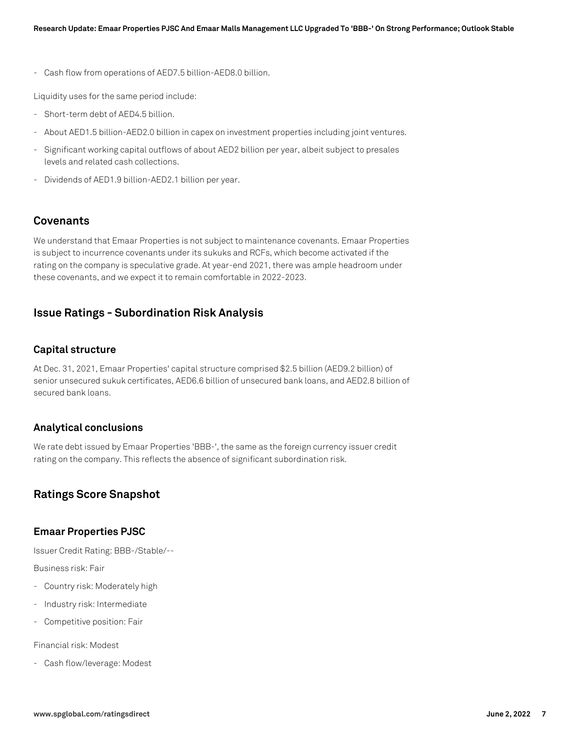- Cash flow from operations of AED7.5 billion-AED8.0 billion.

Liquidity uses for the same period include:

- Short-term debt of AED4.5 billion.
- About AED1.5 billion-AED2.0 billion in capex on investment properties including joint ventures.
- Significant working capital outflows of about AED2 billion per year, albeit subject to presales levels and related cash collections.
- Dividends of AED1.9 billion-AED2.1 billion per year.

## **Covenants**

We understand that Emaar Properties is not subject to maintenance covenants. Emaar Properties is subject to incurrence covenants under its sukuks and RCFs, which become activated if the rating on the company is speculative grade. At year-end 2021, there was ample headroom under these covenants, and we expect it to remain comfortable in 2022-2023.

## **Issue Ratings - Subordination Risk Analysis**

#### **Capital structure**

At Dec. 31, 2021, Emaar Properties' capital structure comprised \$2.5 billion (AED9.2 billion) of senior unsecured sukuk certificates, AED6.6 billion of unsecured bank loans, and AED2.8 billion of secured bank loans.

#### **Analytical conclusions**

We rate debt issued by Emaar Properties 'BBB-', the same as the foreign currency issuer credit rating on the company. This reflects the absence of significant subordination risk.

## **Ratings Score Snapshot**

#### **Emaar Properties PJSC**

Issuer Credit Rating: BBB-/Stable/--

Business risk: Fair

- Country risk: Moderately high
- Industry risk: Intermediate
- Competitive position: Fair

Financial risk: Modest

- Cash flow/leverage: Modest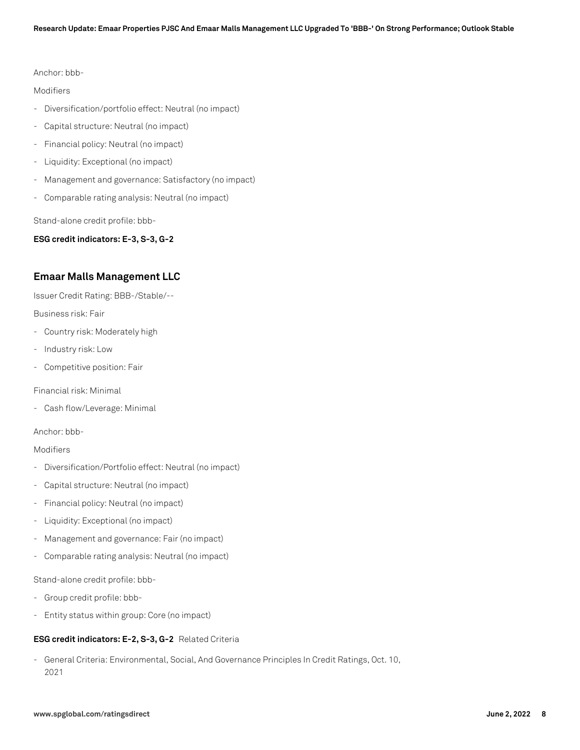Anchor: bbb-

#### Modifiers

- Diversification/portfolio effect: Neutral (no impact)
- Capital structure: Neutral (no impact)
- Financial policy: Neutral (no impact)
- Liquidity: Exceptional (no impact)
- Management and governance: Satisfactory (no impact)
- Comparable rating analysis: Neutral (no impact)

Stand-alone credit profile: bbb-

**ESG credit indicators: E-3, S-3, G-2**

#### **Emaar Malls Management LLC**

Issuer Credit Rating: BBB-/Stable/--

Business risk: Fair

- Country risk: Moderately high
- Industry risk: Low
- Competitive position: Fair

Financial risk: Minimal

- Cash flow/Leverage: Minimal

Anchor: bbb-

#### Modifiers

- Diversification/Portfolio effect: Neutral (no impact)
- Capital structure: Neutral (no impact)
- Financial policy: Neutral (no impact)
- Liquidity: Exceptional (no impact)
- Management and governance: Fair (no impact)
- Comparable rating analysis: Neutral (no impact)

Stand-alone credit profile: bbb-

- Group credit profile: bbb-
- Entity status within group: Core (no impact)

#### **ESG credit indicators: E-2, S-3, G-2** Related Criteria

- General Criteria: Environmental, Social, And Governance Principles In Credit Ratings, Oct. 10, 2021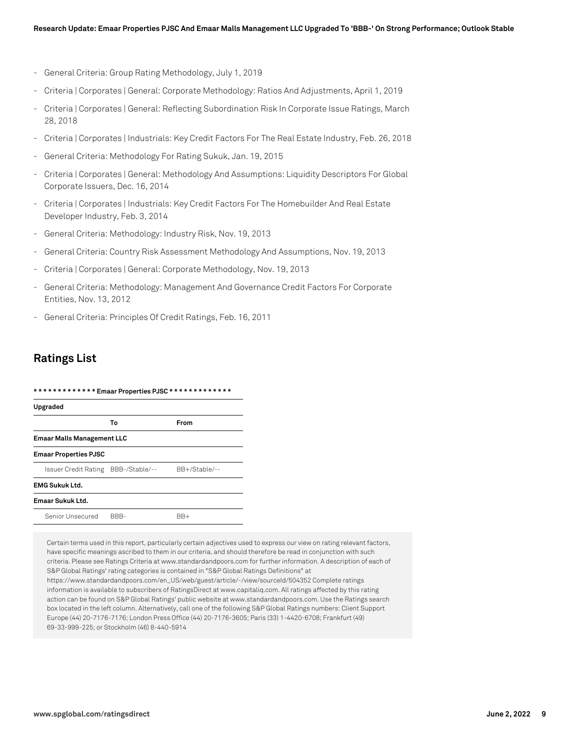- General Criteria: Group Rating Methodology, July 1, 2019
- Criteria | Corporates | General: Corporate Methodology: Ratios And Adjustments, April 1, 2019
- Criteria | Corporates | General: Reflecting Subordination Risk In Corporate Issue Ratings, March 28, 2018
- Criteria | Corporates | Industrials: Key Credit Factors For The Real Estate Industry, Feb. 26, 2018
- General Criteria: Methodology For Rating Sukuk, Jan. 19, 2015
- Criteria | Corporates | General: Methodology And Assumptions: Liquidity Descriptors For Global Corporate Issuers, Dec. 16, 2014
- Criteria | Corporates | Industrials: Key Credit Factors For The Homebuilder And Real Estate Developer Industry, Feb. 3, 2014
- General Criteria: Methodology: Industry Risk, Nov. 19, 2013
- General Criteria: Country Risk Assessment Methodology And Assumptions, Nov. 19, 2013
- Criteria | Corporates | General: Corporate Methodology, Nov. 19, 2013
- General Criteria: Methodology: Management And Governance Credit Factors For Corporate Entities, Nov. 13, 2012
- General Criteria: Principles Of Credit Ratings, Feb. 16, 2011

## **Ratings List**

| ************* Emaar Properties PJSC *************<br>Upgraded |                |               |
|---------------------------------------------------------------|----------------|---------------|
|                                                               |                |               |
| <b>Emaar Malls Management LLC</b>                             |                |               |
| <b>Emaar Properties PJSC</b>                                  |                |               |
| Issuer Credit Rating                                          | BBB-/Stable/-- | BB+/Stable/-- |
| <b>EMG Sukuk Ltd.</b>                                         |                |               |
| Emaar Sukuk Ltd.                                              |                |               |
| Senior Unsecured                                              | BBB-           | BB+           |

Certain terms used in this report, particularly certain adjectives used to express our view on rating relevant factors, have specific meanings ascribed to them in our criteria, and should therefore be read in conjunction with such criteria. Please see Ratings Criteria at www.standardandpoors.com for further information. A description of each of S&P Global Ratings' rating categories is contained in "S&P Global Ratings Definitions" at https://www.standardandpoors.com/en\_US/web/guest/article/-/view/sourceId/504352 Complete ratings information is available to subscribers of RatingsDirect at www.capitaliq.com. All ratings affected by this rating action can be found on S&P Global Ratings' public website at www.standardandpoors.com. Use the Ratings search box located in the left column. Alternatively, call one of the following S&P Global Ratings numbers: Client Support Europe (44) 20-7176-7176; London Press Office (44) 20-7176-3605; Paris (33) 1-4420-6708; Frankfurt (49) 69-33-999-225; or Stockholm (46) 8-440-5914